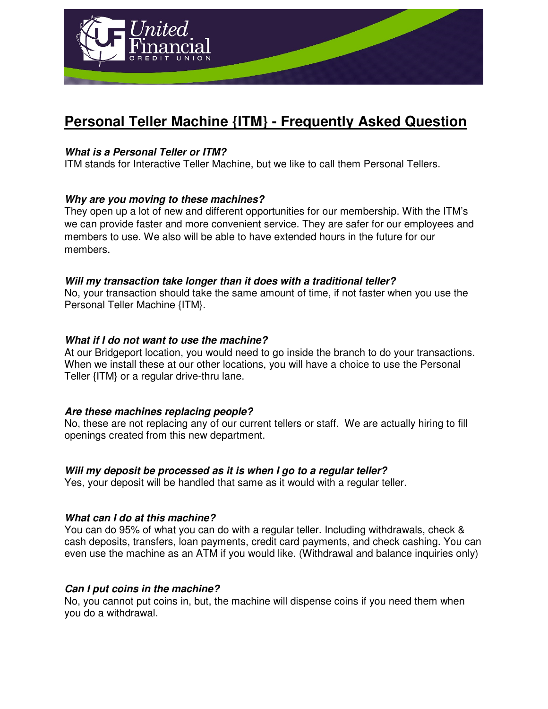

# **Personal Teller Machine {ITM} - Frequently Asked Question**

## **What is a Personal Teller or ITM?**

ITM stands for Interactive Teller Machine, but we like to call them Personal Tellers.

## **Why are you moving to these machines?**

They open up a lot of new and different opportunities for our membership. With the ITM's we can provide faster and more convenient service. They are safer for our employees and members to use. We also will be able to have extended hours in the future for our members.

## **Will my transaction take longer than it does with a traditional teller?**

No, your transaction should take the same amount of time, if not faster when you use the Personal Teller Machine {ITM}.

## **What if I do not want to use the machine?**

At our Bridgeport location, you would need to go inside the branch to do your transactions. When we install these at our other locations, you will have a choice to use the Personal Teller {ITM} or a regular drive-thru lane.

## **Are these machines replacing people?**

No, these are not replacing any of our current tellers or staff. We are actually hiring to fill openings created from this new department.

# **Will my deposit be processed as it is when I go to a regular teller?**

Yes, your deposit will be handled that same as it would with a regular teller.

## **What can I do at this machine?**

You can do 95% of what you can do with a regular teller. Including withdrawals, check & cash deposits, transfers, loan payments, credit card payments, and check cashing. You can even use the machine as an ATM if you would like. (Withdrawal and balance inquiries only)

## **Can I put coins in the machine?**

No, you cannot put coins in, but, the machine will dispense coins if you need them when you do a withdrawal.